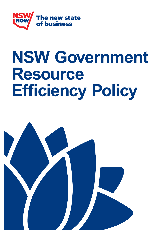

# **NSW Government Resource Efficiency Policy**

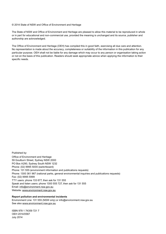#### © 2014 State of NSW and Office of Environment and Heritage

The State of NSW and Office of Environment and Heritage are pleased to allow this material to be reproduced in whole or in part for educational and non-commercial use, provided the meaning is unchanged and its source, publisher and authorship are acknowledged.

The Office of Environment and Heritage (OEH) has compiled this in good faith, exercising all due care and attention. No representation is made about the accuracy, completeness or suitability of the information in this publication for any particular purpose. OEH shall not be liable for any damage which may occur to any person or organisation taking action or not on the basis of this publication. Readers should seek appropriate advice when applying the information to their specific needs.

Published by: Office of Environment and Heritage 59 Goulburn Street, Sydney NSW 2000 PO Box A290, Sydney South NSW 1232 Phone: (02) 9995 5000 (switchboard) Phone: 131 555 (environment information and publications requests) Phone: 1300 361 967 (national parks, general environmental inquiries and publications requests) Fax: (02) 9995 5999 TTY users: phone 133 677, then ask for 131 555 Speak and listen users: phone 1300 555 727, then ask for 131 555 Email: [info@environment.nsw.gov.au](mailto:%20info%40environment.nsw.gov.au?subject=) Website: [www.environment.nsw.gov.au](http://www.environment.nsw.gov.au)

#### **Report pollution and environmental incidents**

Environment Line: 131 555 (NSW only) or [info@environment.nsw.gov.au](mailto:info@environment.nsw.gov.au) See also [www.environment.nsw.gov.au](http://www.environment.nsw.gov.au)

ISBN 978 1 74359 721 7 OEH 2014/0567 July 2014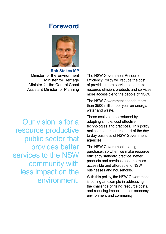### **Foreword**



**Rob Stokes MP** Minister for the Environment Minister for Heritage Minister for the Central Coast Assistant Minister for Planning

Our vision is for a resource productive public sector that provides better services to the NSW community with less impact on the environment.

The NSW Government Resource Efficiency Policy will reduce the cost of providing core services and make resource efficient products and services more accessible to the people of NSW.

The NSW Government spends more than \$500 million per year on energy, water and waste.

These costs can be reduced by adopting simple, cost effective technologies and practices. This policy makes these measures part of the day to day business of NSW Government agencies.

The NSW Government is a big purchaser, so when we make resource efficiency standard practice, better products and services become more accessible and affordable to NSW businesses and households.

With this policy, the NSW Government is setting an example in addressing the challenge of rising resource costs, and reducing impacts on our economy, environment and community.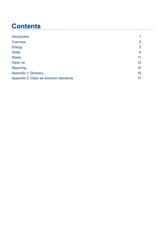## **Contents**

| <b>Introduction</b>                      |                |
|------------------------------------------|----------------|
| Overview                                 | $\overline{2}$ |
| <b>Energy</b>                            | 3              |
| Water                                    | 9              |
| <b>Waste</b>                             | 11             |
| Clean air                                | 12             |
| Reporting                                | 14             |
| <b>Appendix 1: Glossary</b>              | 15             |
| Appendix 2: Clean air emission standards | 17             |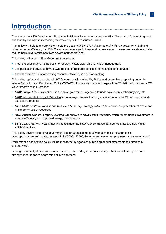### **Introduction**

The aim of the NSW Government Resource Efficiency Policy is to reduce the NSW Government's operating costs and lead by example in increasing the efficiency of the resources it uses.

The policy will help to ensure NSW meets the goals of *[NSW 2021: A plan to make NSW number one](http://www.2021.nsw.gov.au)*. It aims to drive resource efficiency by NSW Government agencies in three main areas – energy, water and waste – and also reduce harmful air emissions from government operations.

This policy will ensure NSW Government agencies:

- meet the challenge of rising costs for energy, water, clean air and waste management
- use purchasing power to drive down the cost of resource-efficient technologies and services
- show leadership by incorporating resource efficiency in decision-making.

This policy replaces the previous NSW Government Sustainability Policy and streamlines reporting under the Waste Reduction and Purchasing Policy (WRAPP). It supports goals and targets in *NSW 2021* and delivers NSW Government actions from the:

- *[NSW Energy Efficiency Action Plan](http://www.environment.nsw.gov.au/energyefficiencyindustry/policy.htm)* to drive government agencies to undertake energy efficiency projects
- *[NSW Renewable Energy Action Plan](http://www.resourcesandenergy.nsw.gov.au/energy-consumers/sustainable-energy/renewable-energy-action-plan)* to encourage renewable energy development in NSW and support midscale solar projects
- *[Draft NSW Waste Avoidance and Resource Recovery Strategy 2013–21](http://www.epa.nsw.gov.au/warr/WARRStrategy2013.htm)* to reduce the generation of waste and make better use of resources
- NSW Auditor-General's report, *[Building Energy Use in NSW Public Hospitals](http://www.audit.nsw.gov.au/Publications/Performance-Audit-Reports/2013-Reports/Building-energy-use-in-NSW-public-hospitals)*, which recommends investment in energy efficiency and improved energy benchmarking
- *[Data Centre Reform Project](https://www.finance.nsw.gov.au/inside-dfs/information-communications-technology/data-centre-reform-project)* that will consolidate the NSW Government's data centres into two new highly efficient centres.

This policy covers all general government sector agencies, generally on a whole-of-cluster basis: www.dpc.nsw.gov.au/ data/assets/pdf file/0005/126086/Government\_sector\_employment\_arrangements.pdf

Performance against this policy will be monitored by agencies publishing annual statements (electronically or otherwise).

Local government, state-owned corporations, public trading enterprises and public financial enterprises are strongly encouraged to adopt this policy's approach.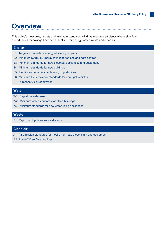### **Overview**

This policy's measures, targets and minimum standards will drive resource efficiency where significant opportunities for savings have been identified for energy, water, waste and clean air.

#### **Energy**

- E1: Targets to undertake energy efficiency projects
- E2: Minimum NABERS Energy ratings for offices and data centres
- E3: Minimum standards for new electrical appliances and equipment
- E4: Minimum standards for new buildings
- E5: Identify and enable solar leasing opportunities
- E6: Minimum fuel efficiency standards for new light vehicles
- E7: Purchase 6% GreenPower

#### **Water**

- W1: Report on water use
- W2: Minimum water standards for office buildings
- W3: Minimum standards for new water-using appliances

#### **Waste**

P1: Report on top three waste streams

#### **Clean air**

- A1: Air emission standards for mobile non-road diesel plant and equipment
- A2: Low-VOC surface coatings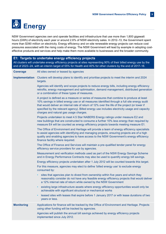

NSW Government agencies own and operate facilities and infrastructure that use more than 1,800 gigawatt hours (GWh) of electricity each year or around 2.6% of NSW electricity sales. In 2012–13, the Government spent more than \$390 million on electricity. Energy efficiency and on-site renewable energy projects can reduce cost pressures associated with the rising costs of energy. The NSW Government will lead by example in adopting costeffective products and services and help make them more available to businesses and the broader community.

#### **E1: Targets to undertake energy efficiency projects**

All clusters will undertake energy efficiency projects at sites representing 90% of their billed energy use by the end of 2023–24, with an interim target of 55% for Health and 40% for other clusters by the end of 2017–18.

| <b>Coverage</b>   | All sites owned or leased by agencies                                                                                                                                                                                                                                                                                                                                                                                                |
|-------------------|--------------------------------------------------------------------------------------------------------------------------------------------------------------------------------------------------------------------------------------------------------------------------------------------------------------------------------------------------------------------------------------------------------------------------------------|
| Implementation    | Clusters will develop plans to identify and prioritise projects to meet the interim and 2024<br>targets.                                                                                                                                                                                                                                                                                                                             |
|                   | Agencies will identify and scope projects to reduce energy bills, including energy efficiency<br>retrofits, energy management and optimisation, demand management, distributed generation<br>or a combination of these types of measures.                                                                                                                                                                                            |
|                   | A project is defined as a measure or series of measures that combine to produce at least<br>10% savings in billed energy use or all measures identified through a full site energy audit<br>that would deliver an internal rate of return of 12% over the life of the project (or lower if<br>specified by the relevant agency). Billed energy use includes electricity usage and capacity<br>charges and natural gas usage charges. |
|                   | Projects undertaken to meet 4.5 Star NABERS Energy ratings under measure E2 and<br>new buildings that are constructed to consume a further 10% less energy than required by<br>measure E4 will be counted as energy efficiency projects towards meeting measure E1.                                                                                                                                                                  |
|                   | The Office of Environment and Heritage will provide a team of energy efficiency specialists<br>to assist agencies with identifying and managing projects, ensuring projects are of a high<br>quality and enabling agencies to have access to the NSW Government's energy efficiency<br>finance facility where required.                                                                                                              |
|                   | The Office of Finance and Services will maintain a pre-qualified tender panel for energy<br>efficiency service providers for use by agencies.                                                                                                                                                                                                                                                                                        |
|                   | Measurement and verification methods used as part of the NSW Energy Savings Scheme<br>and in Energy Performance Contracts may also be used to quantify energy bill savings.                                                                                                                                                                                                                                                          |
|                   | Energy efficiency projects undertaken after 1 July 2012 will be counted towards this target.                                                                                                                                                                                                                                                                                                                                         |
|                   | For this measure, agencies may elect to define 'billed energy use' to exclude energy<br>consumed by:                                                                                                                                                                                                                                                                                                                                 |
|                   | sites that agencies plan to divest from ownership within five years and which they<br>reasonably consider do not have any feasible energy efficiency projects that would deliver<br>a 12% internal rate of return while owned by the NSW Government                                                                                                                                                                                  |
|                   | existing large infrastructure assets where energy efficiency opportunities would only be<br>$\bullet$<br>achievable with significant structural or mechanical works                                                                                                                                                                                                                                                                  |
|                   | leased sites with leases that expire before 1 January 2017 or with lease durations of two<br>years or less.                                                                                                                                                                                                                                                                                                                          |
| <b>Monitoring</b> | Applications for finance will be tracked by the Office of Environment and Heritage. Projects<br>using other funding will be tracked by agencies.                                                                                                                                                                                                                                                                                     |
|                   | Agencies will publish the annual bill savings achieved by energy efficiency projects<br>implemented since July 2012.                                                                                                                                                                                                                                                                                                                 |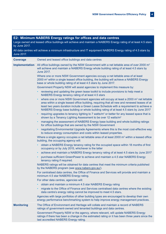#### **E2: Minimum NABERS Energy ratings for offices and data centres**

Large owned and leased office buildings will achieve and maintain a NABERS Energy rating of at least 4.5 stars by June 2017.

All data centres will achieve a minimum infrastructure and IT equipment NABERS Energy rating of 4.5 stars by June 2017.

| <b>Coverage</b>       | Owned and leased office buildings and data centres                                                                                                                                                                                                                                                                                                                                      |
|-----------------------|-----------------------------------------------------------------------------------------------------------------------------------------------------------------------------------------------------------------------------------------------------------------------------------------------------------------------------------------------------------------------------------------|
| <b>Implementation</b> | All office buildings owned by the NSW Government with a net lettable area of over 2000 $m2$<br>will achieve and maintain a NABERS Energy whole building rating of at least 4.5 stars by<br><b>June 2017.</b>                                                                                                                                                                            |
|                       | Where one or more NSW Government agencies occupy a net lettable area of at least<br>2000 m <sup>2</sup> within a single leased office building, the building will achieve a NABERS Energy<br>base or whole building rating of at least 4.5 stars by June 2017.                                                                                                                          |
|                       | Government Property NSW will assist agencies to implement this measure by:                                                                                                                                                                                                                                                                                                              |
|                       | reviewing and updating the green lease toolkit to include provisions to help meet a<br>NABERS Energy tenancy rating of at least 4.5 stars                                                                                                                                                                                                                                               |
|                       | where one or more NSW Government agencies will occupy at least a 2000 m <sup>2</sup> net lettable<br>area within a single leased office building, requiring that all new and renewed leases of at<br>least two years duration include a Green Lease Schedule with a requirement to achieve a<br>NABERS Energy base building or whole building rating of at least 4.5 stars by June 2017 |
|                       | requiring upgrades to tenancy lighting to 7 watts/ $m2$ or better for any leased space that is<br>shown by a Tenancy Lighting Assessment to be over 12 watts/m <sup>2</sup>                                                                                                                                                                                                             |
|                       | managing the assessment of NABERS Energy base building and whole building ratings<br>$\bullet$<br>for office buildings that are owned by the NSW Government                                                                                                                                                                                                                             |
|                       | negotiating Environmental Upgrade Agreements where this is the most cost-effective way<br>to reduce energy consumption and costs within leased properties.                                                                                                                                                                                                                              |
|                       | Where a single agency occupies a net lettable area of at least 2000 m <sup>2</sup> within a leased office<br>building, the occupying agency will:                                                                                                                                                                                                                                       |
|                       | obtain a NABERS Energy tenancy rating for the occupied space within 18 months of first<br>$\bullet$<br>occupancy or by July 2015, whichever is the latter                                                                                                                                                                                                                               |
|                       | achieve and maintain a NABERS Energy tenancy rating of at least 4.5 stars by June 2017<br>٠<br>purchase sufficient GreenPower to achieve and maintain a 4.5 star NABERS Energy<br>tenancy rating if required.                                                                                                                                                                           |
|                       | NABERS ratings will be obtained for data centres that meet the minimum criteria published<br>by the NABERS program (see www.nabers.gov.au/).                                                                                                                                                                                                                                            |
|                       | For centralised data centres, the Office of Finance and Services will provide and maintain a<br>minimum 4.5 star NABERS Energy rating.                                                                                                                                                                                                                                                  |
|                       | For other data centres, agencies will:                                                                                                                                                                                                                                                                                                                                                  |
|                       | obtain and maintain a minimum 4.5 star NABERS Energy rating                                                                                                                                                                                                                                                                                                                             |
|                       | migrate to the Office of Finance and Services centralised data centres where the existing<br>data centre's energy rating cannot be improved to meet 4.5 stars.                                                                                                                                                                                                                          |
|                       | Agencies with large portfolios of other building types are encouraged to develop their own<br>energy performance benchmarking system to help improve energy management practices.                                                                                                                                                                                                       |
| <b>Monitoring</b>     | The Office of Environment and Heritage will collate and maintain a record of NABERS<br>ratings of government-owned and tenanted buildings and data centres.<br>Government Property NSW or the agency, where relevant, will update NABERS Energy                                                                                                                                         |
|                       | ratings if there has been a change in the estimated rating or it has been three years since the<br>last accredited NABERS Energy rating.                                                                                                                                                                                                                                                |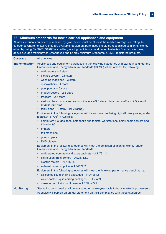#### **E3: Minimum standards for new electrical appliances and equipment**

All new electrical equipment purchased by government must be at least the market average star rating. In categories where no star ratings are available, equipment purchased should be recognised as high efficiency either by being ENERGY STAR® accredited, in a high efficiency band under Australian Standards or being above-average efficiency of Greenhouse and Energy Minimum Standards (GEMS) registered products.

| <b>Coverage</b>   | All agencies                                                                                                                                                                                                                                                                                                                                                                                                                                                                                                                                                                                                                                                                                                                                                                                                                                                                                                                                                                                                                                                                                                                                                                                                                                                                                                                                                                                                                                                                                                                                                                                                                       |
|-------------------|------------------------------------------------------------------------------------------------------------------------------------------------------------------------------------------------------------------------------------------------------------------------------------------------------------------------------------------------------------------------------------------------------------------------------------------------------------------------------------------------------------------------------------------------------------------------------------------------------------------------------------------------------------------------------------------------------------------------------------------------------------------------------------------------------------------------------------------------------------------------------------------------------------------------------------------------------------------------------------------------------------------------------------------------------------------------------------------------------------------------------------------------------------------------------------------------------------------------------------------------------------------------------------------------------------------------------------------------------------------------------------------------------------------------------------------------------------------------------------------------------------------------------------------------------------------------------------------------------------------------------------|
| Implementation    | Appliances and equipment purchased in the following categories with star ratings under the<br>Greenhouse and Energy Minimum Standards (GEMS) will be at least the following:<br>refrigerators $-2$ stars<br>$\bullet$<br>clothes dryers $-2.5$ stars<br>$\bullet$<br>washing machines - 3 stars<br>٠<br>dishwashers $-4$ stars<br>$\bullet$<br>pool pumps - 5 stars<br>$\bullet$<br>fridge/freezers $-2.5$ stars<br>$\bullet$<br>freezers $-2.5$ stars<br>air-to-air heat pumps and air conditioners - 3.5 stars if less than 4kW and 2.5 stars if<br>$\bullet$<br>greater than 4kW<br>televisions $-4$ stars (Tier 2 rating).<br>$\bullet$<br>Equipment in the following categories will be endorsed as being high efficiency rating under<br><b>ENERGY STAR<sup>®</sup></b> in Australia:<br>computers (i.e. desktops, notebooks and tablets, workstations, small-scale servers and<br>thin clients)<br>printers<br>٠<br>fax machines<br>$\bullet$<br>photocopiers<br>٠<br>DVD players.<br>$\bullet$<br>Equipment in the following categories will meet the definition of 'high efficiency' under<br><b>Greenhouse and Energy Minimum Standards:</b><br>refrigerated commercial display cabinets - AS1731.14<br>$\bullet$<br>distribution transformers - AS2374.1.2<br>electric motors - AS1359.5<br>$\bullet$<br>external power supplies - AS4879.2.<br>$\bullet$<br>Equipment in the following categories will meet the following performance benchmarks:<br>air-cooled liquid chilling packages - IPLV of 4.5<br>٠<br>water-cooled liquid chilling packages - IPLV of 9<br>٠<br>closed-control air conditioners - AEER of 3.2 |
| <b>Monitoring</b> | Star rating benchmarks will be evaluated on a two-year cycle to track market improvements.                                                                                                                                                                                                                                                                                                                                                                                                                                                                                                                                                                                                                                                                                                                                                                                                                                                                                                                                                                                                                                                                                                                                                                                                                                                                                                                                                                                                                                                                                                                                         |
|                   | Agencies will publish an annual statement on their compliance with these standards.                                                                                                                                                                                                                                                                                                                                                                                                                                                                                                                                                                                                                                                                                                                                                                                                                                                                                                                                                                                                                                                                                                                                                                                                                                                                                                                                                                                                                                                                                                                                                |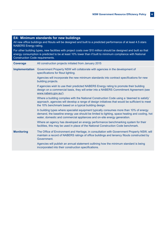#### **E4: Minimum standards for new buildings**

All new office buildings and fitouts will be designed and built to a predicted performance of at least 4.5 stars NABERS Energy rating.

For other building types, new facilities with project costs over \$10 million should be designed and built so that energy consumption is predicted to be at least 10% lower than if built to minimum compliance with National Construction Code requirements.

| <b>Coverage</b>       | All construction projects initiated from January 2015                                                                                                                                                                                                                |
|-----------------------|----------------------------------------------------------------------------------------------------------------------------------------------------------------------------------------------------------------------------------------------------------------------|
| <b>Implementation</b> | Government Property NSW will collaborate with agencies in the development of<br>specifications for fitout lighting.                                                                                                                                                  |
|                       | Agencies will incorporate the new minimum standards into contract specifications for new<br>building projects.                                                                                                                                                       |
|                       | If agencies wish to use their predicted NABERS Energy rating to promote their building<br>design on a commercial basis, they will enter into a NABERS Commitment Agreement (see<br>www.nabers.gov.au/).                                                              |
|                       | Where a building complies with the National Construction Code using a 'deemed to satisfy'<br>approach, agencies will develop a range of design initiatives that would be sufficient to meet<br>the 10% benchmark based on a typical building design.                 |
|                       | In building types where specialist equipment typically consumes more than 10% of energy<br>demand, the baseline energy use should be limited to lighting, space heating and cooling, hot<br>water, domestic and commercial appliances and on-site energy generation. |
|                       | Where an agency has developed an energy performance benchmarking system for their<br>facilities, this may be used in place of the National Construction Code benchmark.                                                                                              |
| <b>Monitoring</b>     | The Office of Environment and Heritage, in consultation with Government Property NSW, will<br>maintain a record of NABERS ratings of office buildings and tenancy fitouts constructed by<br>Government.                                                              |
|                       | Agencies will publish an annual statement outlining how the minimum standard is being<br>incorporated into their construction specifications.                                                                                                                        |
|                       |                                                                                                                                                                                                                                                                      |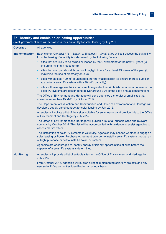|                       | E5: Identify and enable solar leasing opportunities<br>Small government sites will self-assess their suitability for solar leasing by July 2015.                                                                                                   |
|-----------------------|----------------------------------------------------------------------------------------------------------------------------------------------------------------------------------------------------------------------------------------------------|
| <b>Coverage</b>       | All agencies                                                                                                                                                                                                                                       |
| <b>Implementation</b> | Each site on Contract 776 - Supply of Electricity - Small Sites will self-assess the suitability<br>for solar leasing. Suitability is determined by the following factors:                                                                         |
|                       | sites that are likely to be owned or leased by the Government for the next 10 years (to<br>ensure a minimum lease term)                                                                                                                            |
|                       | sites that are operational throughout daylight hours for at least 45 weeks of the year (to<br>maximise the use of electricity on-site)                                                                                                             |
|                       | sites with at least 100 m <sup>2</sup> of unshaded, northerly aspect roof (to ensure there is sufficient<br>$\bullet$<br>space for a solar PV system with a 10 kWp capacity)                                                                       |
|                       | sites with average electricity consumption greater than 45 MWh per annum (to ensure that<br>$\bullet$<br>solar PV systems are designed to deliver around 30% of the site's annual consumption).                                                    |
|                       | The Office of Environment and Heritage will send agencies a shortlist of small sites that<br>consume more than 45 MWh by October 2014.                                                                                                             |
|                       | The Department of Education and Communities and Office of Environment and Heritage will<br>develop a supply panel contract for solar leasing by July 2015.                                                                                         |
|                       | Agencies will collate a list of their sites suitable for solar leasing and provide this to the Office<br>of Environment and Heritage by July 2015.                                                                                                 |
|                       | The Office of Environment and Heritage will publish a list of all suitable sites and relevant<br>contacts by October 2015. This list will be accompanied with guidance to assist agencies to<br>assess market offers.                              |
|                       | The installation of solar PV systems is voluntary. Agencies may choose whether to engage a<br>solar leasing or Power Purchase Agreement provider to install a solar PV system through an<br>outright purchase or not to install a solar PV system. |
|                       | Agencies are encouraged to identify energy efficiency opportunities at sites before the<br>capacity of a solar PV system is determined.                                                                                                            |
| <b>Monitoring</b>     | Agencies will provide a list of suitable sites to the Office of Environment and Heritage by<br><b>July 2015.</b>                                                                                                                                   |
|                       | From October 2015, agencies will publish a list of implemented solar PV projects and any<br>new solar PV opportunities identified on an annual basis.                                                                                              |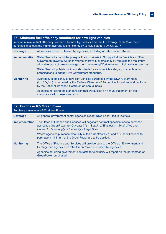| E6: Minimum fuel efficiency standards for new light vehicles<br>Improve minimum fuel efficiency standards for new light vehicles so that the average NSW Government<br>purchase is at least the market average fuel efficiency by vehicle category by July 2017. |                                                                                                                                                                                                                                                                                                                                                                                                                                     |
|------------------------------------------------------------------------------------------------------------------------------------------------------------------------------------------------------------------------------------------------------------------|-------------------------------------------------------------------------------------------------------------------------------------------------------------------------------------------------------------------------------------------------------------------------------------------------------------------------------------------------------------------------------------------------------------------------------------|
| <b>Coverage</b>                                                                                                                                                                                                                                                  | All vehicles owned or leased by agencies, excluding novated lease vehicles                                                                                                                                                                                                                                                                                                                                                          |
| <b>Implementation</b>                                                                                                                                                                                                                                            | State Fleet will amend the pre-qualification criteria in Supply of Motor Vehicles to NSW<br>Government (SCM0653) each year to improve fuel efficiency by reducing the maximum<br>allowable gram of greenhouse gas per kilometre (gCO <sub>2</sub> /km) for each light vehicle category.<br>State Fleet will publish minimum standards for each vehicle category to enable other<br>organisations to adopt NSW Government standards. |
| <b>Monitoring</b>                                                                                                                                                                                                                                                | Average fuel efficiency of new light vehicles purchased by the NSW Government<br>(in gCO <sub>2</sub> /km) is recorded by the Federal Chamber of Automotive Industries and published<br>by the National Transport Centre on an annual basis.                                                                                                                                                                                        |
|                                                                                                                                                                                                                                                                  | Agencies not using the standard contract will publish an annual statement on their<br>compliance with these standards.                                                                                                                                                                                                                                                                                                              |

| E7: Purchase 6% GreenPower<br>Purchase a minimum of 6% GreenPower. |                                                                                                                                                                                                                                                        |  |
|--------------------------------------------------------------------|--------------------------------------------------------------------------------------------------------------------------------------------------------------------------------------------------------------------------------------------------------|--|
| <b>Coverage</b>                                                    | All general government sector agencies except NSW Local Health Districts                                                                                                                                                                               |  |
|                                                                    | <b>Implementation</b> The Office of Finance and Services will negotiate contract specifications to purchase<br>accredited GreenPower for Contract 776 – Supply of Electricity – Small Sites and<br>Contract 777 - Supply of Electricity - Large Sites. |  |
|                                                                    | Where agencies purchase electricity outside Contracts 776 and 777, specifications to<br>purchase a minimum of 6% GreenPower are to be applied.                                                                                                         |  |
| <b>Monitoring</b>                                                  | The Office of Finance and Services will provide data to the Office of Environment and<br>Heritage and agencies on total GreenPower purchased by agencies.                                                                                              |  |
|                                                                    | Agencies not using government contracts for electricity will report on the percentage of<br>GreenPower purchased.                                                                                                                                      |  |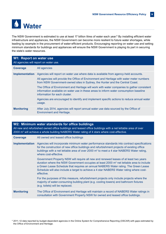

The NSW Government is estimated to use at least 17 billion litres of water each year.**\*** By installing efficient water infrastructure and appliances, the NSW Government can become more resilient to future water shortages, while leading by example in the procurement of water-efficient products. Encouraging reporting on water use and setting minimum standards for buildings and appliances will ensure the NSW Government is playing its part in securing the state's water resources.

| <b>W1: Report on water use</b><br>All agencies will report on water use. |                                                                                                                                                                                                                                                                                                                                                                                                                                                                                                                                                                                                   |
|--------------------------------------------------------------------------|---------------------------------------------------------------------------------------------------------------------------------------------------------------------------------------------------------------------------------------------------------------------------------------------------------------------------------------------------------------------------------------------------------------------------------------------------------------------------------------------------------------------------------------------------------------------------------------------------|
| <b>Coverage</b>                                                          | All agencies                                                                                                                                                                                                                                                                                                                                                                                                                                                                                                                                                                                      |
| Implementation                                                           | Agencies will report on water use where data is available from agency-held accounts.<br>All agencies will provide the Office of Environment and Heritage with water meter numbers<br>from NSW Government-owned sites in Sydney, the Hunter and the Central Coast.<br>The Office of Environment and Heritage will work with water companies to gather consistent<br>information available on water use in these areas to inform water consumption baseline<br>information for each cluster.<br>Agencies are encouraged to identify and implement specific actions to reduce annual water<br>usage. |
| <b>Monitoring</b>                                                        | After July 2014, agencies will report annual water use data sourced by the Office of<br><b>Environment and Heritage.</b>                                                                                                                                                                                                                                                                                                                                                                                                                                                                          |

| W2: Minimum water standards for office buildings<br>All new and refurbished owned office buildings and leased office buildings with a net lettable area of over<br>2000 m <sup>2</sup> will achieve a whole building NABERS Water rating of 4 stars where cost-effective. |                                                                                                                                                                                                                                                                                                                                                                                     |
|---------------------------------------------------------------------------------------------------------------------------------------------------------------------------------------------------------------------------------------------------------------------------|-------------------------------------------------------------------------------------------------------------------------------------------------------------------------------------------------------------------------------------------------------------------------------------------------------------------------------------------------------------------------------------|
| <b>Coverage</b>                                                                                                                                                                                                                                                           | All owned and leased office buildings                                                                                                                                                                                                                                                                                                                                               |
| <b>Implementation</b>                                                                                                                                                                                                                                                     | Agencies will incorporate minimum water performance standards into contract specifications<br>for the construction of new office buildings and refurbishment projects of existing office<br>buildings with a net lettable area of over 2000 m <sup>2</sup> to meet a 4 star NABERS Water rating,<br>where cost-effective.                                                           |
|                                                                                                                                                                                                                                                                           | Government Property NSW will require all new and renewed leases of at least two years<br>duration where the NSW Government occupies at least 2000 $m2$ net lettable area to include<br>a Green Lease Schedule that requires an annual NABERS Water rating. The Green Lease<br>Schedule will also include a target to achieve a 4 star NABERS Water rating where cost-<br>effective. |
|                                                                                                                                                                                                                                                                           | For the purposes of this measure, refurbishment projects only include projects where the<br>majority of water-consuming building plant (e.g. cooling towers) and bathroom fixtures<br>(e.g. toilets) will be replaced.                                                                                                                                                              |
| <b>Monitoring</b>                                                                                                                                                                                                                                                         | The Office of Environment and Heritage will maintain a record of NABERS Water ratings in<br>consultation with Government Property NSW for owned and leased office buildings.                                                                                                                                                                                                        |

\* 2011–12 data reported by budget-dependent agencies in the Online System for Comprehensive Reporting (OSCAR) with gaps estimated by the Office of Environment and Heritage.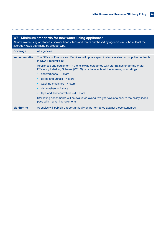| W3: Minimum standards for new water-using appliances<br>All new water-using appliances, shower heads, taps and toilets purchased by agencies must be at least the<br>average WELS star rating by product type. |                                                                                                                                                                             |
|----------------------------------------------------------------------------------------------------------------------------------------------------------------------------------------------------------------|-----------------------------------------------------------------------------------------------------------------------------------------------------------------------------|
| <b>Coverage</b>                                                                                                                                                                                                | All agencies                                                                                                                                                                |
| <b>Implementation</b>                                                                                                                                                                                          | The Office of Finance and Services will update specifications in standard supplier contracts<br>in NSW ProcurePoint.                                                        |
|                                                                                                                                                                                                                | Appliances and equipment in the following categories with star ratings under the Water<br>Efficiency Labelling Scheme (WELS) must have at least the following star ratings: |
|                                                                                                                                                                                                                | showerheads – 3 stars<br>$\bullet$                                                                                                                                          |
|                                                                                                                                                                                                                | toilets and urinals $-4$ stars                                                                                                                                              |
|                                                                                                                                                                                                                | washing machines $-4$ stars                                                                                                                                                 |
|                                                                                                                                                                                                                | dishwashers $-4$ stars<br>$\bullet$                                                                                                                                         |
|                                                                                                                                                                                                                | taps and flow controllers $-4.5$ stars.                                                                                                                                     |
|                                                                                                                                                                                                                | Star rating benchmarks will be evaluated over a two-year cycle to ensure the policy keeps<br>pace with market improvements.                                                 |
| <b>Monitoring</b>                                                                                                                                                                                              | Agencies will publish a report annually on performance against these standards.                                                                                             |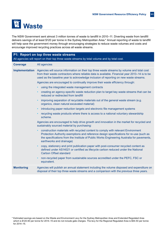

The NSW Government sent almost 3 million tonnes of waste to landfill in 2010–11. Diverting waste from landfill delivers savings of at least \$120 per tonne in the Sydney Metropolitan Area.\* Annual reporting of waste to landfill will help save the government money through encouraging strategies to reduce waste volumes and costs and encourage improved recycling practices across all waste streams.

| P1: Report on top three waste streams<br>All agencies will report on their top three waste streams by total volume and by total cost. |                                                                                                                                                                                                                                                                                                                    |
|---------------------------------------------------------------------------------------------------------------------------------------|--------------------------------------------------------------------------------------------------------------------------------------------------------------------------------------------------------------------------------------------------------------------------------------------------------------------|
| <b>Coverage</b>                                                                                                                       | All agencies                                                                                                                                                                                                                                                                                                       |
| <b>Implementation</b>                                                                                                                 | Agencies will source information on their top three waste streams by volume and total cost<br>from their waste contractors where reliable data is available. Financial year 2013–14 is to be<br>used as the baseline year to acknowledge inclusion of reporting on new waste streams.                              |
|                                                                                                                                       | Agencies are encouraged to continually improve their waste efficiency through:                                                                                                                                                                                                                                     |
|                                                                                                                                       | using the integrated waste management contracts<br>$\bullet$                                                                                                                                                                                                                                                       |
|                                                                                                                                       | creating an agency-specific waste reduction plan to target key waste streams that can be<br>$\bullet$<br>reduced or redirected from landfill                                                                                                                                                                       |
|                                                                                                                                       | improving separation of recyclable materials out of the general waste stream (e.g.<br>$\bullet$<br>organics, clean natural excavated material)                                                                                                                                                                     |
|                                                                                                                                       | introducing paper reduction targets and electronic file management systems<br>$\bullet$                                                                                                                                                                                                                            |
|                                                                                                                                       | recycling waste products where there is access to a national voluntary stewardship<br>$\bullet$<br>scheme.                                                                                                                                                                                                         |
|                                                                                                                                       | Agencies are encouraged to help drive growth and innovation in the market for recycled and<br>sustainably sourced material by purchasing:                                                                                                                                                                          |
|                                                                                                                                       | construction materials with recycled content to comply with relevant Environment<br>$\bullet$<br>Protection Authority exemptions and reference design specifications for re-use (such as<br>the specifications from the Institute of Public Works Engineering Australia for pavements,<br>earthworks and drainage) |
|                                                                                                                                       | copy, stationery and print publication paper with post-consumer recycled content as<br>$\bullet$<br>defined under AS14021 or certified as lifecycle carbon reduced under the National<br><b>Carbon Offset standard</b>                                                                                             |
|                                                                                                                                       | non-recycled paper from sustainable sources accredited under the PEFC, FSC or<br>$\bullet$<br>equivalent.                                                                                                                                                                                                          |
| <b>Monitoring</b>                                                                                                                     | Agencies will publish an annual statement including the volume disposed and expenditure on<br>disposal of their top three waste streams and a comparison with the previous three years.                                                                                                                            |

<sup>\*</sup> Estimated savings are based on the Waste and Environment Levy for the Sydney Metropolitan Area and Extended Regulated Area which is \$120.90 per tonne for 2014–15 and do not include gate charges. The levy for the Regional Regulated Area is \$64.50 per tonne for 2014–15.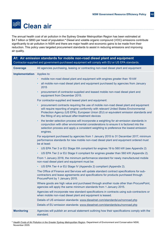

The annual health cost of air pollution in the Sydney Greater Metropolitan Region has been estimated at \$4.7 billion or \$893 per head of population.**\*** Diesel and volatile organic compound (VOC) emissions contribute significantly to air pollution in NSW and there are major health and economic gains to be made from their reduction. This policy uses targeted procurement standards to assist in reducing emissions and improving air quality.

|                                   | A1: Air emission standards for mobile non-road diesel plant and equipment<br>Contractor-supplied and government-purchased equipment will comply with EU or US EPA standards.                                                                                                                                                 |
|-----------------------------------|------------------------------------------------------------------------------------------------------------------------------------------------------------------------------------------------------------------------------------------------------------------------------------------------------------------------------|
| <b>Coverage</b>                   | All agencies purchasing, leasing or contracting non-road diesel plant and equipment                                                                                                                                                                                                                                          |
| <b>Implementation</b> Applies to: |                                                                                                                                                                                                                                                                                                                              |
|                                   | mobile non-road diesel plant and equipment with engines greater than 19 kW<br>$\bullet$                                                                                                                                                                                                                                      |
|                                   | all mobile non-road diesel plant and equipment purchased by agencies from January<br>$\bullet$<br>2015                                                                                                                                                                                                                       |
|                                   | procurement of contractor-supplied and leased mobile non-road diesel plant and<br>$\bullet$<br>equipment from December 2015.                                                                                                                                                                                                 |
|                                   | For contractor-supplied and leased plant and equipment:                                                                                                                                                                                                                                                                      |
|                                   | procurement contracts requiring the use of mobile non-road diesel plant and equipment<br>will require reporting of engine conformity with relevant United States Environmental<br>Protection Agency (US EPA), European Union (EU) or equivalent emission standards and<br>the fitting of any exhaust after-treatment devices |
|                                   | the tender selection process will incorporate a weighting for air-emission standards in<br>$\bullet$<br>conjunction with other environmental considerations to ensure it is factored into the<br>selection process and apply a consistent weighting to preference the lowest emission<br>engines.                            |
|                                   | For equipment purchased by agencies from 1 January 2015 to 31 December 2017, minimum<br>performance standards for new mobile non-road diesel plant and equipment ordered must<br>be at least:                                                                                                                                |
|                                   | US EPA Tier 3 or EU Stage IIIA compliant for engines 19 to 560 kW (see Appendix 2)<br>$\bullet$                                                                                                                                                                                                                              |
|                                   | US EPA Tier 2 or EU Stage II compliant for engines greater than 560 kW (Appendix 2).<br>$\bullet$                                                                                                                                                                                                                            |
|                                   | From 1 January 2018, the minimum performance standard for newly manufactured mobile<br>non-road diesel plant and equipment must be:                                                                                                                                                                                          |
|                                   | US EPA Tier 4 or EU Stage IV (Appendix 2) compliant (Appendix 2).<br>$\bullet$                                                                                                                                                                                                                                               |
|                                   | The Office of Finance and Services will update standard contract specifications for sub-<br>contractors and lease agreements and specifications for products purchased through<br>ProcurePoint by 1 January 2015.                                                                                                            |
|                                   | Where goods are high value and purchased through another route other than ProcurePoint,<br>agencies will apply the same minimum standards from 1 January 2015.                                                                                                                                                               |
|                                   | Agencies will incorporate new standard specifications in contracts using sub-contractors or<br>when mobile non-road diesel plant and equipment is leased.                                                                                                                                                                    |
|                                   | Details of US emission standards: www.dieselnet.com/standards/us/nonroad.php                                                                                                                                                                                                                                                 |
|                                   | Details of EU emission standards: www.dieselnet.com/standards/eu/nonroad.php                                                                                                                                                                                                                                                 |
| <b>Monitoring</b>                 | Agencies will publish an annual statement outlining how their specifications comply with the<br>standard.                                                                                                                                                                                                                    |

\* *[Health Costs of Air Pollution in the Greater Sydney Metropolitan Region](http://www.environment.nsw.gov.au/resources/aqms/airpollution05623.pdf),* Department of Environment and Conservation NSW, November 2005.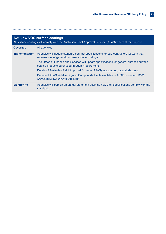| A2: Low-VOC surface coatings<br>All surface coatings will comply with the Australian Paint Approval Scheme (APAS) where fit for purpose. |                                                                                                                                               |  |  |  |  |  |
|------------------------------------------------------------------------------------------------------------------------------------------|-----------------------------------------------------------------------------------------------------------------------------------------------|--|--|--|--|--|
| <b>Coverage</b>                                                                                                                          | All agencies                                                                                                                                  |  |  |  |  |  |
| <b>Implementation</b>                                                                                                                    | Agencies will update standard contract specifications for sub-contractors for work that<br>requires use of general purpose surface coatings.  |  |  |  |  |  |
|                                                                                                                                          | The Office of Finance and Services will update specifications for general purpose surface<br>coating products purchased through ProcurePoint. |  |  |  |  |  |
|                                                                                                                                          | Details of Australian Paint Approval Scheme (APAS): www.apas.gov.au/index.asp                                                                 |  |  |  |  |  |
|                                                                                                                                          | Details of APAS Volatile Organic Compounds Limits available in APAS document D181:<br>www.apas.gov.au/PDFs/D181.pdf                           |  |  |  |  |  |
| <b>Monitoring</b>                                                                                                                        | Agencies will publish an annual statement outlining how their specifications comply with the<br>standard.                                     |  |  |  |  |  |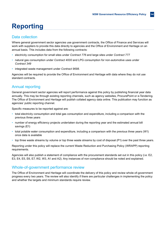# **Reporting**

#### Data collection

Where general government sector agencies use government contracts, the Office of Finance and Services will work with suppliers to provide this data directly to agencies and the Office of Environment and Heritage on an annual basis. This includes data from the following contracts:

- electricity consumption for small sites under *Contract 776* and large sites under *Contract 777*
- natural gas consumption under *Contract 4000* and LPG consumption for non-automotive uses under *Contract 349*
- integrated waste management under *Contract 9698*.

Agencies will be required to provide the Office of Environment and Heritage with data where they do not use standard contracts.

#### Annual reporting

General government sector agencies will report performance against this policy by publishing financial year data annually. This may be through existing reporting channels, such as agency websites, ProcurePoint or e-Tendering. The Office of Environment and Heritage will publish collated agency data online. This publication may function as agencies' public reporting channel.

Specific measures to be reported against are:

- total electricity consumption and total gas consumption and expenditure, including a comparison with the previous three years
- number of energy efficiency projects undertaken during the reporting year and the estimated annual bill savings (E1)
- total potable water consumption and expenditure, including a comparison with the previous three years (W1) once data is available
- top three waste streams by volume or top three waste streams by cost of disposal (P1) over the past three years.

Reporting under this policy will replace the current Waste Reduction and Purchasing Policy (WRAPP) reporting requirements.

Agencies will also publish a statement of compliance with the procurement standards set out in this policy (i.e. E2, E3, E4, E5, E6, E7, W2, W3, A1 and A2). Any instances of non-compliance should be noted and explained.

#### Whole-of-government performance review

The Office of Environment and Heritage will coordinate the delivery of this policy and review whole-of-government progress every two years. The review will also identify if there are particular challenges in implementing the policy and whether the targets and minimum standards require review.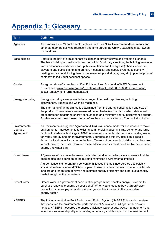### **Appendix 1: Glossary**

| <b>Term</b>                           | <b>Definition</b>                                                                                                                                                                                                                                                                                                                                                                                                                                                                                                                                                                        |
|---------------------------------------|------------------------------------------------------------------------------------------------------------------------------------------------------------------------------------------------------------------------------------------------------------------------------------------------------------------------------------------------------------------------------------------------------------------------------------------------------------------------------------------------------------------------------------------------------------------------------------------|
| Agencies                              | Also known as NSW public sector entities. Includes NSW Government departments and<br>other statutory bodies who represent and form part of the Crown, excluding state-owned<br>corporations.                                                                                                                                                                                                                                                                                                                                                                                             |
| Base building                         | Refers to the part of a multi-tenant building that directly serves and affects all tenants.<br>The base building normally includes the building's primary structure; the building envelope<br>(roof and facade) in whole or part; public circulation and fire egress (lobbies, corridors,<br>elevators and public stairs); and primary mechanical and supply systems (electricity,<br>heating and air conditioning, telephone, water supply, drainage, gas, etc.) up to the point of<br>contact with individual occupant spaces.                                                         |
| Cluster                               | An aggregation of agencies or NSW Public entities. For detail of NSW Government<br>clusters see: www.dpc.nsw.gov.au/ data/assets/pdf file/0005/126086/Government<br>sector_employment_arrangements.pdf                                                                                                                                                                                                                                                                                                                                                                                   |
| Energy star rating                    | Energy star ratings are available for a range of domestic appliances, including<br>dishwashers, freezers and washing machines.                                                                                                                                                                                                                                                                                                                                                                                                                                                           |
|                                       | The star rating of an appliance is determined from the energy consumption and size of<br>the product. These values are measured under Australian Standards which define test<br>procedures for measuring energy consumption and minimum energy performance criteria.<br>Appliances must meet these criteria before they can be granted an Energy Rating Label.                                                                                                                                                                                                                           |
| Environmental<br>Upgrade<br>Agreement | An Environmental Upgrade Agreement (EUA) is a finance model for businesses to make<br>environmental improvements to existing commercial, industrial, strata scheme and large<br>multi-unit residential buildings in NSW. A finance provider lends funds to a building owner<br>for water, energy and other environmental upgrades and this low-risk loan is repaid<br>through a local council charge on the land. Tenants of commercial buildings can be asked<br>to contribute to the costs. However, these additional costs must be offset by their reduced<br>energy and water bills. |
| Green lease                           | A 'green lease' is a lease between the landlord and tenant which aims to ensure that the<br>ongoing use and operation of the building minimises environmental impacts.                                                                                                                                                                                                                                                                                                                                                                                                                   |
|                                       | A green lease is different from conventional leases in that it incorporates ecologically<br>sustainable development (ESD) principles. These provide a framework under which both<br>landlord and tenant can achieve and maintain energy efficiency and other sustainability<br>goals throughout the lease term.                                                                                                                                                                                                                                                                          |
| GreenPower                            | GreenPower is a government accreditation program that enables energy providers to<br>purchase renewable energy on your behalf. When you choose to buy a GreenPower<br>product, customers pay an additional charge which is invested in the renewable<br>energy sector.                                                                                                                                                                                                                                                                                                                   |
| <b>NABERS</b>                         | The National Australian Built Environment Rating System (NABERS) is a rating system<br>that measures the environmental performance of Australian buildings, tenancies and<br>homes. NABERS measures the energy efficiency, water usage, waste management and<br>indoor environmental quality of a building or tenancy and its impact on the environment.                                                                                                                                                                                                                                 |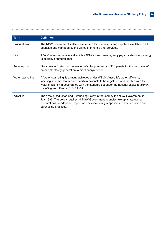| <b>Term</b>         |                                                                                                                                                                                                                                                                                                                   |
|---------------------|-------------------------------------------------------------------------------------------------------------------------------------------------------------------------------------------------------------------------------------------------------------------------------------------------------------------|
|                     | <b>Definition</b>                                                                                                                                                                                                                                                                                                 |
| <b>ProcurePoint</b> | The NSW Government's electronic system for purchasers and suppliers available to all<br>agencies and managed by the Office of Finance and Services.                                                                                                                                                               |
| <b>Site</b>         | A 'site' refers to premises at which a NSW Government agency pays for stationary energy<br>(electricity or natural gas).                                                                                                                                                                                          |
| Solar leasing       | 'Solar leasing' refers to the leasing of solar photovoltaic (PV) panels for the purposes of<br>on-site electricity generation to meet energy needs.                                                                                                                                                               |
| Water star rating   | A 'water star rating' is a rating achieved under WELS, Australia's water efficiency<br>labelling scheme, that requires certain products to be registered and labelled with their<br>water efficiency in accordance with the standard set under the national Water Efficiency<br>Labelling and Standards Act 2005. |
| WRAPP               | The Waste Reduction and Purchasing Policy introduced by the NSW Government in<br>July 1995. The policy requires all NSW Government agencies, except state-owned<br>corporations, to adopt and report on environmentally responsible waste reduction and<br>purchasing practices.                                  |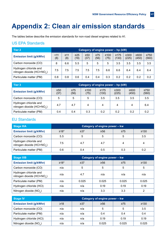### **Appendix 2: Clean air emission standards**

The tables below describe the emission standards for non-road diesel engines related to A1.

#### US EPA Standards

| Tier 2                                                           |           |                  |                   |                   |                   | Category of engine power - hp (kW) |                     |               |               |                     |
|------------------------------------------------------------------|-----------|------------------|-------------------|-------------------|-------------------|------------------------------------|---------------------|---------------|---------------|---------------------|
| <b>Emission limit (g/kWhr)</b>                                   | 11<br>(8) | $\geq 11$<br>(8) | $\geq$ 25<br>(19) | $\geq 50$<br>(37) | $\geq 75$<br>(56) | $\geq 100$<br>(75)                 | $\geq 175$<br>(130) | ≥300<br>(225) | ≥600<br>(450) | $\geq 750$<br>(560) |
| Carbon monoxide (CO)                                             | 8         | 6.6              | 5.5               | 5                 | 5                 | 5                                  | 3.5                 | 3.5           | 3.5           | 3.5                 |
| Hydrogen chloride and<br>nitrogen dioxide (HCI+NO <sub>v</sub> ) | 7.5       | 7.5              | 7.5               | 7.5               | 7.5               | 6.6                                | 6.6                 | 6.4           | 6.4           | 6.4                 |
| Particulate matter (PM)                                          | 0.8       | 0.8              | 0.6               | 0.4               | 0.4               | 0.3                                | 0.2                 | 0.2           | 0.2           | 0.2                 |

| <b>Tier 3</b>                                                    | Category of engine power - hp (kW) |                   |                    |                     |                     |               |                     |  |  |
|------------------------------------------------------------------|------------------------------------|-------------------|--------------------|---------------------|---------------------|---------------|---------------------|--|--|
| <b>Emission limit (g/kWhr)</b>                                   | $\geq 50$<br>(37)                  | $\geq 75$<br>(56) | $\geq 100$<br>(75) | $\geq$ 175<br>(130) | $\geq 300$<br>(225) | ≥600<br>(450) | $\geq 750$<br>(560) |  |  |
| Carbon monoxide (CO)                                             | 5                                  | 5                 | 5                  | 3.5                 | 3.5                 | 3.5           | 3.5                 |  |  |
| Hydrogen chloride and<br>nitrogen dioxide (HCl+NO <sub>v</sub> ) | 4.7                                | 4.7               | 4                  | 4                   | 4                   |               | 6.4                 |  |  |
| Particulate matter (PM)                                          | 0.4                                | 0.4               | 0.3                | 0.2                 | 0.2                 | 0.2           | 0.2                 |  |  |

#### EU Standards

| <b>Stage IIIA</b>                                                |               |           | Category of engine power - kw |           |            |
|------------------------------------------------------------------|---------------|-----------|-------------------------------|-----------|------------|
| <b>Emission limit (g/kWhr)</b>                                   | $≥18*$        | $\geq$ 37 | ≥56                           | $\geq 75$ | $\geq$ 130 |
| Carbon monoxide (CO)                                             | $5.5^{\circ}$ | 5         |                               | 5         | 3.5        |
| Hydrogen chloride and<br>nitrogen dioxide (HCl+NO <sub>x</sub> ) | 7.5           | 4.7       | 4.7                           | 4         |            |
| Particulate matter (PM)                                          | 0.6           | 0.4       | 0.5                           | 0.3       | 0.2        |

| <b>Stage IIIB</b>                                                |        |           | Category of engine power - kw |           |            |
|------------------------------------------------------------------|--------|-----------|-------------------------------|-----------|------------|
| <b>Emission limit (g/kWhr)</b>                                   | $≥18*$ | $\geq$ 37 | $\geq 56$                     | $\geq 75$ | $\geq 130$ |
| Carbon monoxide (CO)                                             | n/a    | 5         | 5                             | 5         | 5          |
| Hydrogen chloride and<br>nitrogen dioxide (HCl+NO <sub>x</sub> ) | n/a    | 4.7       | n/a                           | n/a       | n/a        |
| Particulate matter (PM)                                          | n/a    | 0.025     | 0.025                         | 0.025     | 0.025      |
| Hydrogen chloride (HCI)                                          | n/a    | n/a       | 0.19                          | 0.19      | 0.19       |
| Nitrogen dioxide (NO <sub>v</sub> )                              | n/a    | n/a       | 3.3                           | 3.3       | ົ          |

| <b>Stage IV</b>                | Category of engine power - kw |           |           |           |       |  |  |  |
|--------------------------------|-------------------------------|-----------|-----------|-----------|-------|--|--|--|
| <b>Emission limit (g/kWhr)</b> | $≥18$                         | $\geq 37$ | $\geq 56$ | $\geq 75$ | ≥130  |  |  |  |
| Carbon monoxide (CO)           | n/a                           | n/a       | 5         | 5         | 3.5   |  |  |  |
| Particulate matter (PM)        | n/a                           | n/a       | 0.4       | 0.4       | 0.4   |  |  |  |
| Hydrogen chloride (HCI)        | n/a                           | n/a       | 0.19      | 0.19      | 0.19  |  |  |  |
| Nitrogen dioxide $(NO_x)$      | n/a                           | n/a       | 0.025     | 0.025     | 0.025 |  |  |  |